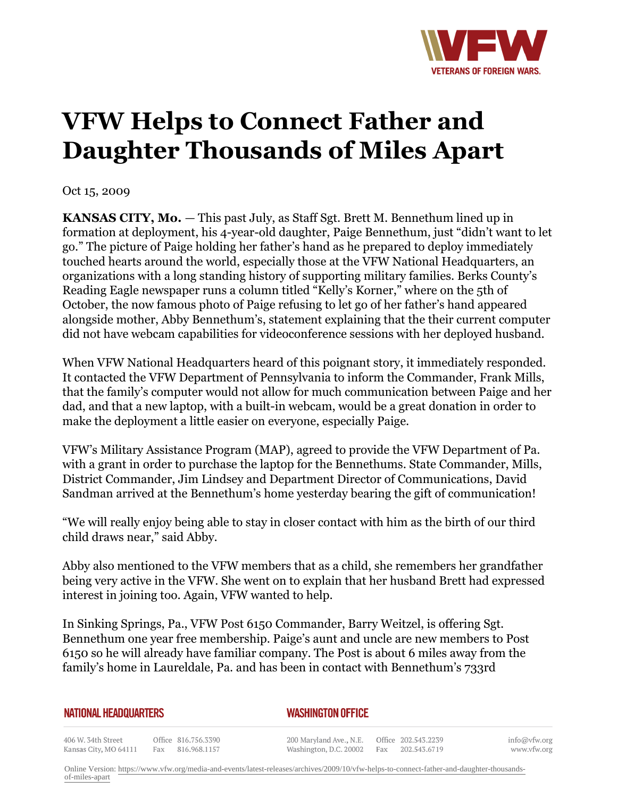

## **VFW Helps to Connect Father and Daughter Thousands of Miles Apart**

Oct 15, 2009

**KANSAS CITY, Mo.** *—* This past July, as Staff Sgt. Brett M. Bennethum lined up in formation at deployment, his 4-year-old daughter, Paige Bennethum, just "didn't want to let go." The picture of Paige holding her father's hand as he prepared to deploy immediately touched hearts around the world, especially those at the VFW National Headquarters, an organizations with a long standing history of supporting military families. Berks County's Reading Eagle newspaper runs a column titled "Kelly's Korner," where on the 5th of October, the now famous photo of Paige refusing to let go of her father's hand appeared alongside mother, Abby Bennethum's, statement explaining that the their current computer did not have webcam capabilities for videoconference sessions with her deployed husband.

When VFW National Headquarters heard of this poignant story, it immediately responded. It contacted the VFW Department of Pennsylvania to inform the Commander, Frank Mills, that the family's computer would not allow for much communication between Paige and her dad, and that a new laptop, with a built-in webcam, would be a great donation in order to make the deployment a little easier on everyone, especially Paige.

VFW's Military Assistance Program (MAP), agreed to provide the VFW Department of Pa. with a grant in order to purchase the laptop for the Bennethums. State Commander, Mills, District Commander, Jim Lindsey and Department Director of Communications, David Sandman arrived at the Bennethum's home yesterday bearing the gift of communication!

"We will really enjoy being able to stay in closer contact with him as the birth of our third child draws near," said Abby.

Abby also mentioned to the VFW members that as a child, she remembers her grandfather being very active in the VFW. She went on to explain that her husband Brett had expressed interest in joining too. Again, VFW wanted to help.

In Sinking Springs, Pa., VFW Post 6150 Commander, Barry Weitzel, is offering Sgt. Bennethum one year free membership. Paige's aunt and uncle are new members to Post 6150 so he will already have familiar company. The Post is about 6 miles away from the family's home in Laureldale, Pa. and has been in contact with Bennethum's 733rd

| <b>NATIONAL HEADQUARTERS</b> |  |
|------------------------------|--|
|------------------------------|--|

*WASHINGTON OFFICE* 

406 W. 34th Street Office 816.756.3390 Fax 816.968.1157 Kansas City, MO 64111

200 Maryland Ave., N.E. Washington, D.C. 20002

Office 202.543.2239 Fax 202.543.6719 info@vfw.org www.vfw.org

Online Version: [https://www.vfw.org/media-and-events/latest-releases/archives/2009/10/vfw-helps-to-connect-father-and-daughter-thousands](https://www.vfw.org/media-and-events/latest-releases/archives/2009/10/vfw-helps-to-connect-father-and-daughter-thousands-of-miles-apart)[of-miles-apart](https://www.vfw.org/media-and-events/latest-releases/archives/2009/10/vfw-helps-to-connect-father-and-daughter-thousands-of-miles-apart)